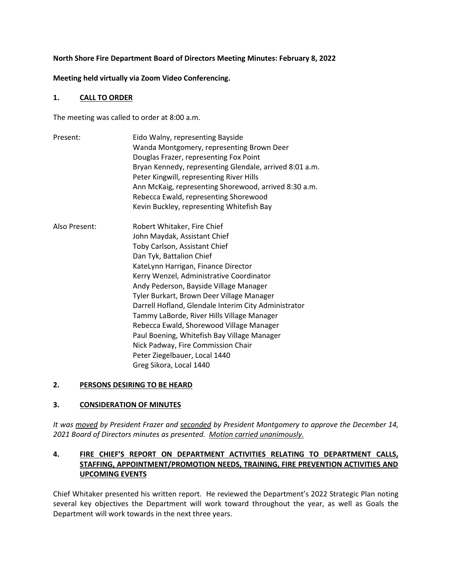#### **North Shore Fire Department Board of Directors Meeting Minutes: February 8, 2022**

#### **Meeting held virtually via Zoom Video Conferencing.**

#### **1. CALL TO ORDER**

The meeting was called to order at 8:00 a.m.

| Present:      | Eido Walny, representing Bayside<br>Wanda Montgomery, representing Brown Deer<br>Douglas Frazer, representing Fox Point<br>Bryan Kennedy, representing Glendale, arrived 8:01 a.m.<br>Peter Kingwill, representing River Hills<br>Ann McKaig, representing Shorewood, arrived 8:30 a.m.<br>Rebecca Ewald, representing Shorewood<br>Kevin Buckley, representing Whitefish Bay                                                                                                                                                                                                                         |
|---------------|-------------------------------------------------------------------------------------------------------------------------------------------------------------------------------------------------------------------------------------------------------------------------------------------------------------------------------------------------------------------------------------------------------------------------------------------------------------------------------------------------------------------------------------------------------------------------------------------------------|
| Also Present: | Robert Whitaker, Fire Chief<br>John Maydak, Assistant Chief<br>Toby Carlson, Assistant Chief<br>Dan Tyk, Battalion Chief<br>KateLynn Harrigan, Finance Director<br>Kerry Wenzel, Administrative Coordinator<br>Andy Pederson, Bayside Village Manager<br>Tyler Burkart, Brown Deer Village Manager<br>Darrell Hofland, Glendale Interim City Administrator<br>Tammy LaBorde, River Hills Village Manager<br>Rebecca Ewald, Shorewood Village Manager<br>Paul Boening, Whitefish Bay Village Manager<br>Nick Padway, Fire Commission Chair<br>Peter Ziegelbauer, Local 1440<br>Greg Sikora, Local 1440 |

### **2. PERSONS DESIRING TO BE HEARD**

#### **3. CONSIDERATION OF MINUTES**

*It was moved by President Frazer and seconded by President Montgomery to approve the December 14, 2021 Board of Directors minutes as presented. Motion carried unanimously.* 

# **4. FIRE CHIEF'S REPORT ON DEPARTMENT ACTIVITIES RELATING TO DEPARTMENT CALLS, STAFFING, APPOINTMENT/PROMOTION NEEDS, TRAINING, FIRE PREVENTION ACTIVITIES AND UPCOMING EVENTS**

Chief Whitaker presented his written report. He reviewed the Department's 2022 Strategic Plan noting several key objectives the Department will work toward throughout the year, as well as Goals the Department will work towards in the next three years.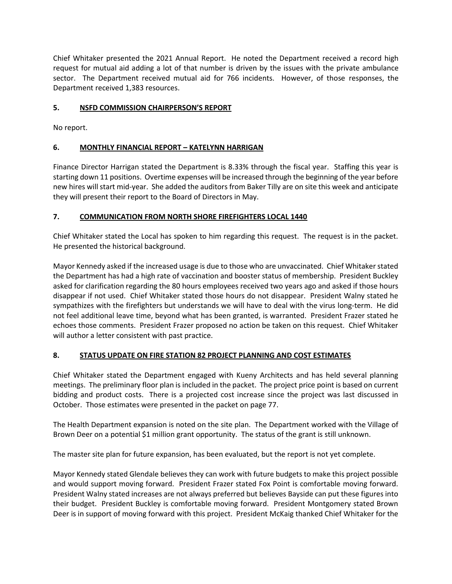Chief Whitaker presented the 2021 Annual Report. He noted the Department received a record high request for mutual aid adding a lot of that number is driven by the issues with the private ambulance sector. The Department received mutual aid for 766 incidents. However, of those responses, the Department received 1,383 resources.

### **5. NSFD COMMISSION CHAIRPERSON'S REPORT**

No report.

### **6. MONTHLY FINANCIAL REPORT – KATELYNN HARRIGAN**

Finance Director Harrigan stated the Department is 8.33% through the fiscal year. Staffing this year is starting down 11 positions. Overtime expenses will be increased through the beginning of the year before new hires will start mid-year. She added the auditors from Baker Tilly are on site this week and anticipate they will present their report to the Board of Directors in May.

# **7. COMMUNICATION FROM NORTH SHORE FIREFIGHTERS LOCAL 1440**

Chief Whitaker stated the Local has spoken to him regarding this request. The request is in the packet. He presented the historical background.

Mayor Kennedy asked if the increased usage is due to those who are unvaccinated. Chief Whitaker stated the Department has had a high rate of vaccination and booster status of membership. President Buckley asked for clarification regarding the 80 hours employees received two years ago and asked if those hours disappear if not used. Chief Whitaker stated those hours do not disappear. President Walny stated he sympathizes with the firefighters but understands we will have to deal with the virus long-term. He did not feel additional leave time, beyond what has been granted, is warranted. President Frazer stated he echoes those comments. President Frazer proposed no action be taken on this request. Chief Whitaker will author a letter consistent with past practice.

# **8. STATUS UPDATE ON FIRE STATION 82 PROJECT PLANNING AND COST ESTIMATES**

Chief Whitaker stated the Department engaged with Kueny Architects and has held several planning meetings. The preliminary floor plan is included in the packet. The project price point is based on current bidding and product costs. There is a projected cost increase since the project was last discussed in October. Those estimates were presented in the packet on page 77.

The Health Department expansion is noted on the site plan. The Department worked with the Village of Brown Deer on a potential \$1 million grant opportunity. The status of the grant is still unknown.

The master site plan for future expansion, has been evaluated, but the report is not yet complete.

Mayor Kennedy stated Glendale believes they can work with future budgets to make this project possible and would support moving forward. President Frazer stated Fox Point is comfortable moving forward. President Walny stated increases are not always preferred but believes Bayside can put these figures into their budget. President Buckley is comfortable moving forward. President Montgomery stated Brown Deer is in support of moving forward with this project. President McKaig thanked Chief Whitaker for the